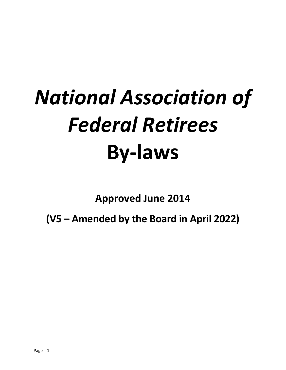# *National Association of Federal Retirees* **By-laws**

**Approved June 2014**

**(V5 – Amended by the Board in April 2022)**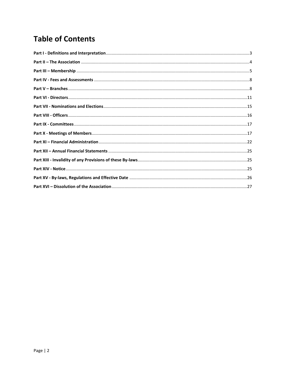## **Table of Contents**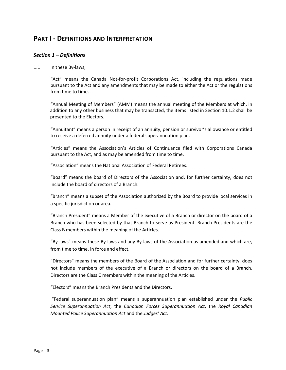## **PART I - DEFINITIONS AND INTERPRETATION**

#### *Section 1 – Definitions*

1.1 In these By-laws,

"Act" means the Canada Not-for-profit Corporations Act, including the regulations made pursuant to the Act and any amendments that may be made to either the Act or the regulations from time to time.

"Annual Meeting of Members" (AMM) means the annual meeting of the Members at which, in addition to any other business that may be transacted, the items listed in Section 10.1.2 shall be presented to the Electors.

"Annuitant" means a person in receipt of an annuity, pension or survivor's allowance or entitled to receive a deferred annuity under a federal superannuation plan.

"Articles" means the Association's Articles of Continuance filed with Corporations Canada pursuant to the Act, and as may be amended from time to time.

"Association" means the National Association of Federal Retirees.

"Board" means the board of Directors of the Association and, for further certainty, does not include the board of directors of a Branch.

"Branch" means a subset of the Association authorized by the Board to provide local services in a specific jurisdiction or area.

"Branch President" means a Member of the executive of a Branch or director on the board of a Branch who has been selected by that Branch to serve as President. Branch Presidents are the Class B members within the meaning of the Articles.

"By-laws" means these By-laws and any By-laws of the Association as amended and which are, from time to time, in force and effect.

"Directors" means the members of the Board of the Association and for further certainty, does not include members of the executive of a Branch or directors on the board of a Branch. Directors are the Class C members within the meaning of the Articles.

"Electors" means the Branch Presidents and the Directors.

"Federal superannuation plan" means a superannuation plan established under the *Public Service Superannuation Act*, the *Canadian Forces Superannuation Act*, the *Royal Canadian Mounted Police Superannuation Act* and the *Judges' Act*.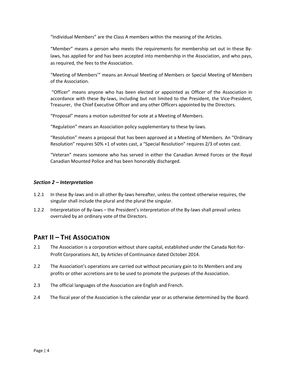"Individual Members" are the Class A members within the meaning of the Articles.

"Member" means a person who meets the requirements for membership set out in these Bylaws, has applied for and has been accepted into membership in the Association, and who pays, as required, the fees to the Association.

"Meeting of Members'" means an Annual Meeting of Members or Special Meeting of Members of the Association.

"Officer" means anyone who has been elected or appointed as Officer of the Association in accordance with these By-laws, including but not limited to the President, the Vice-President, Treasurer, the Chief Executive Officer and any other Officers appointed by the Directors.

"Proposal" means a motion submitted for vote at a Meeting of Members.

"Regulation" means an Association policy supplementary to these by-laws.

"Resolution" means a proposal that has been approved at a Meeting of Members. An "Ordinary Resolution" requires 50% +1 of votes cast, a "Special Resolution" requires 2/3 of votes cast.

"Veteran" means someone who has served in either the Canadian Armed Forces or the Royal Canadian Mounted Police and has been honorably discharged.

#### *Section 2 – Interpretation*

- 1.2.1 In these By-laws and in all other By-laws hereafter, unless the context otherwise requires, the singular shall include the plural and the plural the singular.
- 1.2.2 Interpretation of By-laws the President's interpretation of the By-laws shall prevail unless overruled by an ordinary vote of the Directors.

### **PART II – THE ASSOCIATION**

- 2.1 The Association is a corporation without share capital, established under the Canada Not-for-Profit Corporations Act, by Articles of Continuance dated October 2014.
- 2.2 The Association's operations are carried out without pecuniary gain to its Members and any profits or other accretions are to be used to promote the purposes of the Association.
- 2.3 The official languages of the Association are English and French.
- 2.4 The fiscal year of the Association is the calendar year or as otherwise determined by the Board.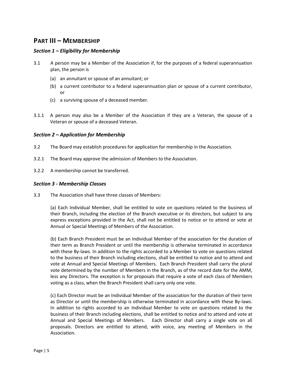## **PART III – MEMBERSHIP**

#### *Section 1 – Eligibility for Membership*

- 3.1 A person may be a Member of the Association if, for the purposes of a federal superannuation plan, the person is
	- (a) an annuitant or spouse of an annuitant; or
	- (b) a current contributor to a federal superannuation plan or spouse of a current contributor, or
	- (c) a surviving spouse of a deceased member.
- 3.1.1 A person may also be a Member of the Association if they are a Veteran, the spouse of a Veteran or spouse of a deceased Veteran.

#### *Section 2 – Application for Membership*

- 3.2 The Board may establish procedures for application for membership in the Association.
- 3.2.1 The Board may approve the admission of Members to the Association.
- 3.2.2 A membership cannot be transferred.

#### *Section 3 - Membership Classes*

3.3 The Association shall have three classes of Members:

(a) Each Individual Member, shall be entitled to vote on questions related to the business of their Branch, including the election of the Branch executive or its directors, but subject to any express exceptions provided in the Act, shall not be entitled to notice or to attend or vote at Annual or Special Meetings of Members of the Association.

(b) Each Branch President must be an Individual Member of the association for the duration of their term as Branch President or until the membership is otherwise terminated in accordance with these By-laws. In addition to the rights accorded to a Member to vote on questions related to the business of their Branch including elections, shall be entitled to notice and to attend and vote at Annual and Special Meetings of Members. Each Branch President shall carry the plural vote determined by the number of Members in the Branch, as of the record date for the AMM, less any Directors. The exception is for proposals that require a vote of each class of Members voting as a class, when the Branch President shall carry only one vote.

(c) Each Director must be an Individual Member of the association for the duration of their term as Director or until the membership is otherwise terminated in accordance with these By-laws. In addition to rights accorded to an Individual Member to vote on questions related to the business of their Branch including elections, shall be entitled to notice and to attend and vote at Annual and Special Meetings of Members. Each Director shall carry a single vote on all proposals. Directors are entitled to attend, with voice, any meeting of Members in the Association.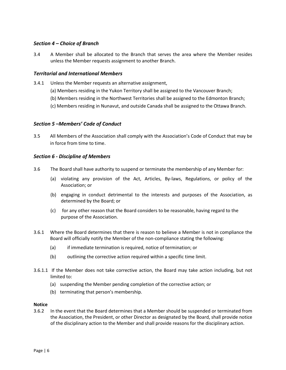#### *Section 4 – Choice of Branch*

3.4 A Member shall be allocated to the Branch that serves the area where the Member resides unless the Member requests assignment to another Branch.

#### *Territorial and International Members*

- 3.4.1 Unless the Member requests an alternative assignment,
	- (a) Members residing in the Yukon Territory shall be assigned to the Vancouver Branch;
	- (b) Members residing in the Northwest Territories shall be assigned to the Edmonton Branch;
	- (c) Members residing in Nunavut, and outside Canada shall be assigned to the Ottawa Branch.

#### *Section 5 –Members' Code of Conduct*

3.5 All Members of the Association shall comply with the Association's Code of Conduct that may be in force from time to time.

#### *Section 6 - Discipline of Members*

- 3.6 The Board shall have authority to suspend or terminate the membership of any Member for:
	- (a) violating any provision of the Act, Articles, By-laws, Regulations, or policy of the Association; or
	- (b) engaging in conduct detrimental to the interests and purposes of the Association, as determined by the Board; or
	- (c) for any other reason that the Board considers to be reasonable, having regard to the purpose of the Association.
- 3.6.1 Where the Board determines that there is reason to believe a Member is not in compliance the Board will officially notify the Member of the non-compliance stating the following:
	- (a) if immediate termination is required, notice of termination; or
	- (b) outlining the corrective action required within a specific time limit.
- 3.6.1.1 If the Member does not take corrective action, the Board may take action including, but not limited to:
	- (a) suspending the Member pending completion of the corrective action; or
	- (b) terminating that person's membership.

#### **Notice**

3.6.2 In the event that the Board determines that a Member should be suspended or terminated from the Association, the President, or other Director as designated by the Board, shall provide notice of the disciplinary action to the Member and shall provide reasons for the disciplinary action.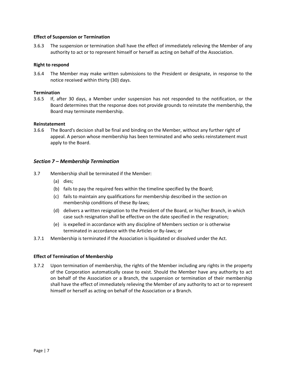#### **Effect of Suspension or Termination**

3.6.3 The suspension or termination shall have the effect of immediately relieving the Member of any authority to act or to represent himself or herself as acting on behalf of the Association.

#### **Right to respond**

3.6.4 The Member may make written submissions to the President or designate, in response to the notice received within thirty (30) days.

#### **Termination**

3.6.5 If, after 30 days, a Member under suspension has not responded to the notification, or the Board determines that the response does not provide grounds to reinstate the membership, the Board may terminate membership.

#### **Reinstatement**

3.6.6 The Board's decision shall be final and binding on the Member, without any further right of appeal. A person whose membership has been terminated and who seeks reinstatement must apply to the Board.

#### *Section 7 – Membership Termination*

- 3.7 Membership shall be terminated if the Member:
	- (a) dies;
	- (b) fails to pay the required fees within the timeline specified by the Board;
	- (c) fails to maintain any qualifications for membership described in the section on membership conditions of these By-laws;
	- (d) delivers a written resignation to the President of the Board, or his/her Branch, in which case such resignation shall be effective on the date specified in the resignation;
	- (e) is expelled in accordance with any discipline of Members section or is otherwise terminated in accordance with the Articles or By-laws; or
- 3.7.1 Membership is terminated if the Association is liquidated or dissolved under the Act.

#### **Effect of Termination of Membership**

3.7.2 Upon termination of membership, the rights of the Member including any rights in the property of the Corporation automatically cease to exist. Should the Member have any authority to act on behalf of the Association or a Branch, the suspension or termination of their membership shall have the effect of immediately relieving the Member of any authority to act or to represent himself or herself as acting on behalf of the Association or a Branch.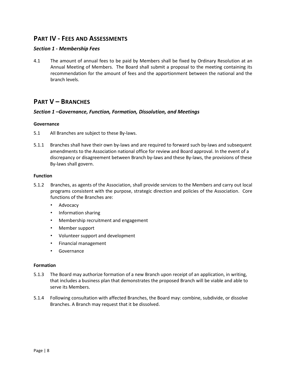## **PART IV - FEES AND ASSESSMENTS**

#### *Section 1 - Membership Fees*

4.1 The amount of annual fees to be paid by Members shall be fixed by Ordinary Resolution at an Annual Meeting of Members. The Board shall submit a proposal to the meeting containing its recommendation for the amount of fees and the apportionment between the national and the branch levels.

## **PART V – BRANCHES**

#### *Section 1 –Governance, Function, Formation, Dissolution, and Meetings*

#### **Governance**

- 5.1 All Branches are subject to these By-laws.
- 5.1.1 Branches shall have their own by-laws and are required to forward such by-laws and subsequent amendments to the Association national office for review and Board approval. In the event of a discrepancy or disagreement between Branch by-laws and these By-laws, the provisions of these By-laws shall govern.

#### **Function**

- 5.1.2 Branches, as agents of the Association, shall provide services to the Members and carry out local programs consistent with the purpose, strategic direction and policies of the Association. Core functions of the Branches are:
	- Advocacy
	- Information sharing
	- Membership recruitment and engagement
	- Member support
	- Volunteer support and development
	- Financial management
	- Governance

#### **Formation**

- 5.1.3 The Board may authorize formation of a new Branch upon receipt of an application, in writing, that includes a business plan that demonstrates the proposed Branch will be viable and able to serve its Members.
- 5.1.4 Following consultation with affected Branches, the Board may: combine, subdivide, or dissolve Branches. A Branch may request that it be dissolved.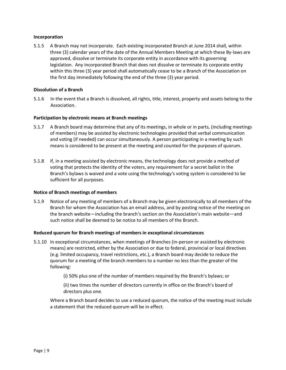#### **Incorporation**

5.1.5 A Branch may not incorporate. Each existing incorporated Branch at June 2014 shall, within three (3) calendar years of the date of the Annual Members Meeting at which these By-laws are approved, dissolve or terminate its corporate entity in accordance with its governing legislation. Any incorporated Branch that does not dissolve or terminate its corporate entity within this three (3) year period shall automatically cease to be a Branch of the Association on the first day immediately following the end of the three (3) year period.

#### **Dissolution of a Branch**

5.1.6 In the event that a Branch is dissolved, all rights, title, interest, property and assets belong to the Association.

#### **Participation by electronic means at Branch meetings**

- 5.1.7 A Branch board may determine that any of its meetings, in whole or in parts, (including meetings of members) may be assisted by electronic technologies provided that verbal communication and voting (if needed) can occur simultaneously. A person participating in a meeting by such means is considered to be present at the meeting and counted for the purposes of quorum.
- 5.1.8 If, in a meeting assisted by electronic means, the technology does not provide a method of voting that protects the identity of the voters, any requirement for a secret ballot in the Branch's bylaws is waived and a vote using the technology's voting system is considered to be sufficient for all purposes.

#### **Notice of Branch meetings of members**

5.1.9 Notice of any meeting of members of a Branch may be given electronically to all members of the Branch for whom the Association has an email address, and by posting notice of the meeting on the branch website—including the branch's section on the Association's main website—and such notice shall be deemed to be notice to all members of the Branch.

#### **Reduced quorum for Branch meetings of members in exceptional circumstances**

- 5.1.10 In exceptional circumstances, when meetings of Branches (in-person or assisted by electronic means) are restricted, either by the Association or due to federal, provincial or local directives (e.g. limited occupancy, travel restrictions, etc.), a Branch board may decide to reduce the quorum for a meeting of the branch members to a number no less than the greater of the following:
	- (i) 50% plus one of the number of members required by the Branch's bylaws; or

(ii) two times the number of directors currently in office on the Branch's board of directors plus one.

Where a Branch board decides to use a reduced quorum, the notice of the meeting must include a statement that the reduced quorum will be in effect.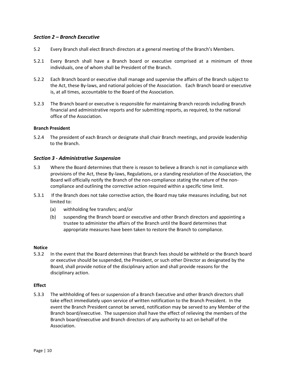#### *Section 2 – Branch Executive*

- 5.2 Every Branch shall elect Branch directors at a general meeting of the Branch's Members.
- 5.2.1 Every Branch shall have a Branch board or executive comprised at a minimum of three individuals, one of whom shall be President of the Branch.
- 5.2.2 Each Branch board or executive shall manage and supervise the affairs of the Branch subject to the Act, these By-laws, and national policies of the Association. Each Branch board or executive is, at all times, accountable to the Board of the Association.
- 5.2.3 The Branch board or executive is responsible for maintaining Branch records including Branch financial and administrative reports and for submitting reports, as required, to the national office of the Association.

#### **Branch President**

5.2.4 The president of each Branch or designate shall chair Branch meetings, and provide leadership to the Branch.

#### *Section 3 - Administrative Suspension*

- 5.3 Where the Board determines that there is reason to believe a Branch is not in compliance with provisions of the Act, these By-laws, Regulations, or a standing resolution of the Association, the Board will officially notify the Branch of the non-compliance stating the nature of the noncompliance and outlining the corrective action required within a specific time limit.
- 5.3.1 If the Branch does not take corrective action, the Board may take measures including, but not limited to:
	- (a) withholding fee transfers; and/or
	- (b) suspending the Branch board or executive and other Branch directors and appointing a trustee to administer the affairs of the Branch until the Board determines that appropriate measures have been taken to restore the Branch to compliance.

#### **Notice**

5.3.2 In the event that the Board determines that Branch fees should be withheld or the Branch board or executive should be suspended, the President, or such other Director as designated by the Board, shall provide notice of the disciplinary action and shall provide reasons for the disciplinary action.

#### **Effect**

5.3.3 The withholding of fees or suspension of a Branch Executive and other Branch directors shall take effect immediately upon service of written notification to the Branch President. In the event the Branch President cannot be served, notification may be served to any Member of the Branch board/executive. The suspension shall have the effect of relieving the members of the Branch board/executive and Branch directors of any authority to act on behalf of the Association.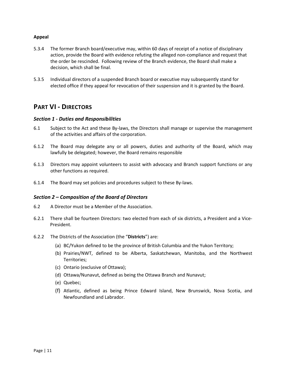#### **Appeal**

- 5.3.4 The former Branch board/executive may, within 60 days of receipt of a notice of disciplinary action, provide the Board with evidence refuting the alleged non-compliance and request that the order be rescinded. Following review of the Branch evidence, the Board shall make a decision, which shall be final.
- 5.3.5 Individual directors of a suspended Branch board or executive may subsequently stand for elected office if they appeal for revocation of their suspension and it is granted by the Board.

## **PART VI - DIRECTORS**

#### *Section 1 - Duties and Responsibilities*

- 6.1 Subject to the Act and these By-laws, the Directors shall manage or supervise the management of the activities and affairs of the corporation.
- 6.1.2 The Board may delegate any or all powers, duties and authority of the Board, which may lawfully be delegated; however, the Board remains responsible
- 6.1.3 Directors may appoint volunteers to assist with advocacy and Branch support functions or any other functions as required.
- 6.1.4 The Board may set policies and procedures subject to these By-laws.

#### *Section 2 – Composition of the Board of Directors*

- 6.2 A Director must be a Member of the Association.
- 6.2.1 There shall be fourteen Directors: two elected from each of six districts, a President and a Vice-President.
- 6.2.2 The Districts of the Association (the "**Districts**") are:
	- (a) BC/Yukon defined to be the province of British Columbia and the Yukon Territory;
	- (b) Prairies/NWT, defined to be Alberta, Saskatchewan, Manitoba, and the Northwest Territories;
	- (c) Ontario (exclusive of Ottawa);
	- (d) Ottawa/Nunavut, defined as being the Ottawa Branch and Nunavut;
	- (e) Quebec;
	- (f) Atlantic, defined as being Prince Edward Island, New Brunswick, Nova Scotia, and Newfoundland and Labrador.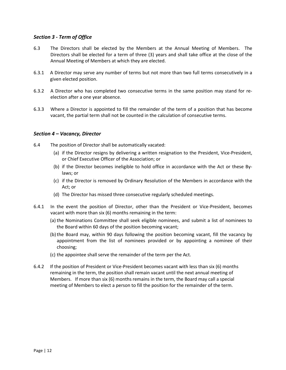#### *Section 3 - Term of Office*

- 6.3 The Directors shall be elected by the Members at the Annual Meeting of Members. The Directors shall be elected for a term of three (3) years and shall take office at the close of the Annual Meeting of Members at which they are elected.
- 6.3.1 A Director may serve any number of terms but not more than two full terms consecutively in a given elected position.
- 6.3.2 A Director who has completed two consecutive terms in the same position may stand for reelection after a one year absence.
- 6.3.3 Where a Director is appointed to fill the remainder of the term of a position that has become vacant, the partial term shall not be counted in the calculation of consecutive terms.

#### *Section 4 – Vacancy, Director*

- 6.4 The position of Director shall be automatically vacated:
	- (a) if the Director resigns by delivering a written resignation to the President, Vice-President, or Chief Executive Officer of the Association; or
	- (b) if the Director becomes ineligible to hold office in accordance with the Act or these Bylaws; or
	- (c) if the Director is removed by Ordinary Resolution of the Members in accordance with the Act; or
	- (d) The Director has missed three consecutive regularly scheduled meetings.
- 6.4.1 In the event the position of Director, other than the President or Vice-President, becomes vacant with more than six (6) months remaining in the term:
	- (a) the Nominations Committee shall seek eligible nominees, and submit a list of nominees to the Board within 60 days of the position becoming vacant;
	- (b)the Board may, within 90 days following the position becoming vacant, fill the vacancy by appointment from the list of nominees provided or by appointing a nominee of their choosing;
	- (c) the appointee shall serve the remainder of the term per the Act.
- 6.4.2 If the position of President or Vice-President becomes vacant with less than six (6) months remaining in the term, the position shall remain vacant until the next annual meeting of Members. If more than six (6) months remains in the term, the Board may call a special meeting of Members to elect a person to fill the position for the remainder of the term.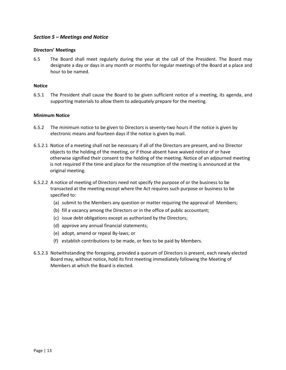#### *Section 5 – Meetings and Notice*

#### **Directors' Meetings**

6.5 The Board shall meet regularly during the year at the call of the President. The Board may designate a day or days in any month or months for regular meetings of the Board at a place and hour to be named.

#### **Notice**

6.5.1 The President shall cause the Board to be given sufficient notice of a meeting, its agenda, and supporting materials to allow them to adequately prepare for the meeting.

#### **Minimum Notice**

- 6.5.2 The minimum notice to be given to Directors is seventy-two hours if the notice is given by electronic means and fourteen days if the notice is given by mail.
- 6.5.2.1 Notice of a meeting shall not be necessary if all of the Directors are present, and no Director objects to the holding of the meeting, or if those absent have waived notice of or have otherwise signified their consent to the holding of the meeting. Notice of an adjourned meeting is not required if the time and place for the resumption of the meeting is announced at the original meeting.
- 6.5.2.2 A notice of meeting of Directors need not specify the purpose of or the business to be transacted at the meeting except where the Act requires such purpose or business to be specified to:
	- (a) submit to the Members any question or matter requiring the approval of Members;
	- (b) fill a vacancy among the Directors or in the office of public accountant;
	- (c) issue debt obligations except as authorized by the Directors;
	- (d) approve any annual financial statements;
	- (e) adopt, amend or repeal By-laws; or
	- (f) establish contributions to be made, or fees to be paid by Members.
- 6.5.2.3 Notwithstanding the foregoing, provided a quorum of Directors is present, each newly elected Board may, without notice, hold its first meeting immediately following the Meeting of Members at which the Board is elected.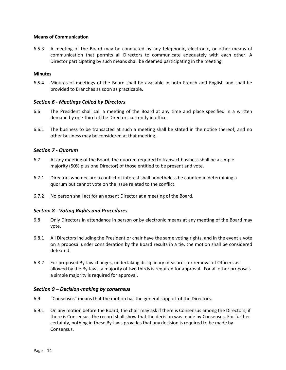#### **Means of Communication**

6.5.3 A meeting of the Board may be conducted by any telephonic, electronic, or other means of communication that permits all Directors to communicate adequately with each other. A Director participating by such means shall be deemed participating in the meeting.

#### **Minutes**

6.5.4 Minutes of meetings of the Board shall be available in both French and English and shall be provided to Branches as soon as practicable.

#### *Section 6 - Meetings Called by Directors*

- 6.6 The President shall call a meeting of the Board at any time and place specified in a written demand by one-third of the Directors currently in office.
- 6.6.1 The business to be transacted at such a meeting shall be stated in the notice thereof, and no other business may be considered at that meeting.

#### *Section 7 - Quorum*

- 6.7 At any meeting of the Board, the quorum required to transact business shall be a simple majority (50% plus one Director) of those entitled to be present and vote.
- 6.7.1 Directors who declare a conflict of interest shall nonetheless be counted in determining a quorum but cannot vote on the issue related to the conflict.
- 6.7.2 No person shall act for an absent Director at a meeting of the Board.

#### *Section 8 - Voting Rights and Procedures*

- 6.8 Only Directors in attendance in person or by electronic means at any meeting of the Board may vote.
- 6.8.1 All Directors including the President or chair have the same voting rights, and in the event a vote on a proposal under consideration by the Board results in a tie, the motion shall be considered defeated.
- 6.8.2 For proposed By-law changes, undertaking disciplinary measures, or removal of Officers as allowed by the By-laws, a majority of two thirds is required for approval. For all other proposals a simple majority is required for approval.

#### *Section 9 – Decision-making by consensus*

- 6.9 "Consensus" means that the motion has the general support of the Directors.
- 6.9.1 On any motion before the Board, the chair may ask if there is Consensus among the Directors; if there is Consensus, the record shall show that the decision was made by Consensus. For further certainty, nothing in these By-laws provides that any decision is required to be made by Consensus.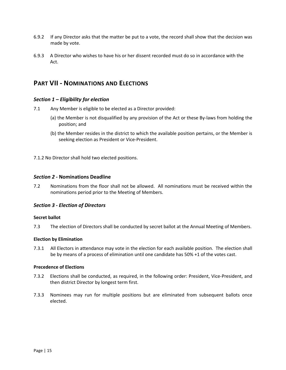- 6.9.2 If any Director asks that the matter be put to a vote, the record shall show that the decision was made by vote.
- 6.9.3 A Director who wishes to have his or her dissent recorded must do so in accordance with the Act.

## **PART VII - NOMINATIONS AND ELECTIONS**

#### *Section 1 – Eligibility for election*

- 7.1 Any Member is eligible to be elected as a Director provided:
	- (a) the Member is not disqualified by any provision of the Act or these By-laws from holding the position; and
	- (b) the Member resides in the district to which the available position pertains, or the Member is seeking election as President or Vice-President.

7.1.2 No Director shall hold two elected positions.

#### *Section 2 -* **Nominations Deadline**

7.2 Nominations from the floor shall not be allowed. All nominations must be received within the nominations period prior to the Meeting of Members.

#### *Section 3 - Election of Directors*

#### **Secret ballot**

7.3 The election of Directors shall be conducted by secret ballot at the Annual Meeting of Members.

#### **Election by Elimination**

7.3.1 All Electors in attendance may vote in the election for each available position. The election shall be by means of a process of elimination until one candidate has 50% +1 of the votes cast.

#### **Precedence of Elections**

- 7.3.2 Elections shall be conducted, as required, in the following order: President, Vice-President, and then district Director by longest term first.
- 7.3.3 Nominees may run for multiple positions but are eliminated from subsequent ballots once elected.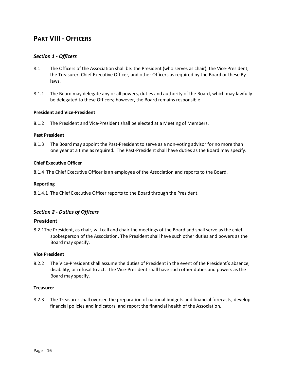## **PART VIII - OFFICERS**

#### *Section 1 - Officers*

- 8.1 The Officers of the Association shall be: the President (who serves as chair), the Vice-President, the Treasurer, Chief Executive Officer, and other Officers as required by the Board or these Bylaws.
- 8.1.1 The Board may delegate any or all powers, duties and authority of the Board, which may lawfully be delegated to these Officers; however, the Board remains responsible

#### **President and Vice-President**

8.1.2 The President and Vice-President shall be elected at a Meeting of Members.

#### **Past President**

8.1.3 The Board may appoint the Past-President to serve as a non-voting advisor for no more than one year at a time as required. The Past-President shall have duties as the Board may specify.

#### **Chief Executive Officer**

8.1.4 The Chief Executive Officer is an employee of the Association and reports to the Board.

#### **Reporting**

8.1.4.1 The Chief Executive Officer reports to the Board through the President.

#### *Section 2 - Duties of Officers*

#### **President**

8.2.1The President, as chair, will call and chair the meetings of the Board and shall serve as the chief spokesperson of the Association. The President shall have such other duties and powers as the Board may specify.

#### **Vice President**

8.2.2 The Vice-President shall assume the duties of President in the event of the President's absence, disability, or refusal to act. The Vice-President shall have such other duties and powers as the Board may specify.

#### **Treasurer**

8.2.3 The Treasurer shall oversee the preparation of national budgets and financial forecasts, develop financial policies and indicators, and report the financial health of the Association.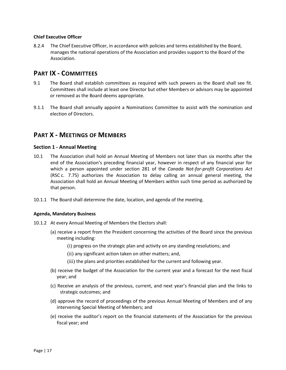#### **Chief Executive Officer**

8.2.4 The Chief Executive Officer, in accordance with policies and terms established by the Board, manages the national operations of the Association and provides support to the Board of the Association.

## **PART IX - COMMITTEES**

- 9.1 The Board shall establish committees as required with such powers as the Board shall see fit. Committees shall include at least one Director but other Members or advisors may be appointed or removed as the Board deems appropriate.
- 9.1.1 The Board shall annually appoint a Nominations Committee to assist with the nomination and election of Directors.

## **PART X - MEETINGS OF MEMBERS**

#### **Section 1 - Annual Meeting**

- 10.1 The Association shall hold an Annual Meeting of Members not later than six months after the end of the Association's preceding financial year, however in respect of any financial year for which a person appointed under section 281 of the *Canada Not-for-profit Corporations Act* (RSC c. 7.75) authorizes the Association to delay calling an annual general meeting, the Association shall hold an Annual Meeting of Members within such time period as authorized by that person.
- 10.1.1 The Board shall determine the date, location, and agenda of the meeting.

#### **Agenda, Mandatory Business**

- 10.1.2 At every Annual Meeting of Members the Electors shall:
	- (a) receive a report from the President concerning the activities of the Board since the previous meeting including:
		- (i) progress on the strategic plan and activity on any standing resolutions; and
		- (ii) any significant action taken on other matters; and,
		- (iii) the plans and priorities established for the current and following year.
	- (b) receive the budget of the Association for the current year and a forecast for the next fiscal year; and
	- (c) Receive an analysis of the previous, current, and next year's financial plan and the links to strategic outcomes; and
	- (d) approve the record of proceedings of the previous Annual Meeting of Members and of any intervening Special Meeting of Members; and
	- (e) receive the auditor's report on the financial statements of the Association for the previous fiscal year; and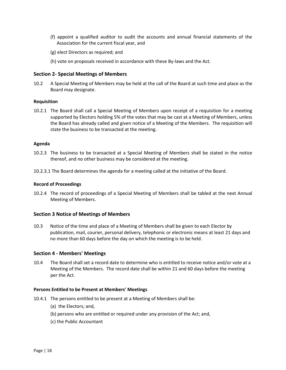- (f) appoint a qualified auditor to audit the accounts and annual financial statements of the Association for the current fiscal year, and
- (g) elect Directors as required; and
- (h) vote on proposals received in accordance with these By-laws and the Act.

#### **Section 2- Special Meetings of Members**

10.2 A Special Meeting of Members may be held at the call of the Board at such time and place as the Board may designate.

#### **Requisition**

10.2.1 The Board shall call a Special Meeting of Members upon receipt of a requisition for a meeting supported by Electors holding 5% of the votes that may be cast at a Meeting of Members, unless the Board has already called and given notice of a Meeting of the Members. The requisition will state the business to be transacted at the meeting.

#### **Agenda**

- 10.2.3 The business to be transacted at a Special Meeting of Members shall be stated in the notice thereof, and no other business may be considered at the meeting.
- 10.2.3.1 The Board determines the agenda for a meeting called at the initiative of the Board.

#### **Record of Proceedings**

10.2.4 The record of proceedings of a Special Meeting of Members shall be tabled at the next Annual Meeting of Members.

#### **Section 3 Notice of Meetings of Members**

10.3 Notice of the time and place of a Meeting of Members shall be given to each Elector by publication, mail, courier, personal delivery, telephonic or electronic means at least 21 days and no more than 60 days before the day on which the meeting is to be held.

#### **Section 4 - Members' Meetings**

10.4 The Board shall set a record date to determine who is entitled to receive notice and/or vote at a Meeting of the Members. The record date shall be within 21 and 60 days before the meeting per the Act.

#### **Persons Entitled to be Present at Members' Meetings**

- 10.4.1 The persons entitled to be present at a Meeting of Members shall be:
	- (a) the Electors; and,
	- (b) persons who are entitled or required under any provision of the Act; and,
	- (c) the Public Accountant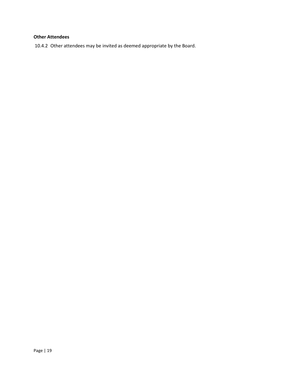## **Other Attendees**

10.4.2 Other attendees may be invited as deemed appropriate by the Board.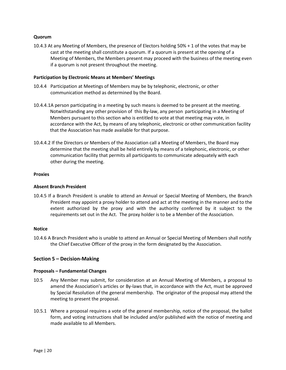#### **Quorum**

10.4.3 At any Meeting of Members, the presence of Electors holding 50% + 1 of the votes that may be cast at the meeting shall constitute a quorum. If a quorum is present at the opening of a Meeting of Members, the Members present may proceed with the business of the meeting even if a quorum is not present throughout the meeting.

#### **Participation by Electronic Means at Members' Meetings**

- 10.4.4 Participation at Meetings of Members may be by telephonic, electronic, or other communication method as determined by the Board.
- 10.4.4.1A person participating in a meeting by such means is deemed to be present at the meeting. Notwithstanding any other provision of this By-law, any person participating in a Meeting of Members pursuant to this section who is entitled to vote at that meeting may vote, in accordance with the Act, by means of any telephonic, electronic or other communication facility that the Association has made available for that purpose.
- 10.4.4.2 If the Directors or Members of the Association call a Meeting of Members, the Board may determine that the meeting shall be held entirely by means of a telephonic, electronic, or other communication facility that permits all participants to communicate adequately with each other during the meeting.

#### **Proxies**

#### **Absent Branch President**

10.4.5 If a Branch President is unable to attend an Annual or Special Meeting of Members, the Branch President may appoint a proxy holder to attend and act at the meeting in the manner and to the extent authorized by the proxy and with the authority conferred by it subject to the requirements set out in the Act. The proxy holder is to be a Member of the Association.

#### **Notice**

10.4.6 A Branch President who is unable to attend an Annual or Special Meeting of Members shall notify the Chief Executive Officer of the proxy in the form designated by the Association.

#### **Section 5 – Decision-Making**

#### **Proposals – Fundamental Changes**

- 10.5 Any Member may submit, for consideration at an Annual Meeting of Members, a proposal to amend the Association's articles or By-laws that, in accordance with the Act, must be approved by Special Resolution of the general membership. The originator of the proposal may attend the meeting to present the proposal.
- 10.5.1 Where a proposal requires a vote of the general membership, notice of the proposal, the ballot form, and voting instructions shall be included and/or published with the notice of meeting and made available to all Members.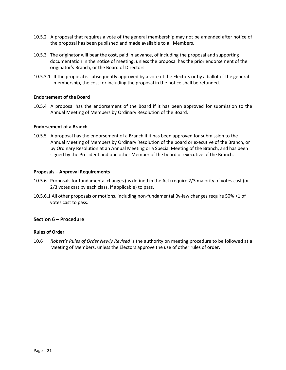- 10.5.2 A proposal that requires a vote of the general membership may not be amended after notice of the proposal has been published and made available to all Members.
- 10.5.3 The originator will bear the cost, paid in advance, of including the proposal and supporting documentation in the notice of meeting, unless the proposal has the prior endorsement of the originator's Branch, or the Board of Directors.
- 10.5.3.1 If the proposal is subsequently approved by a vote of the Electors or by a ballot of the general membership, the cost for including the proposal in the notice shall be refunded.

#### **Endorsement of the Board**

10.5.4 A proposal has the endorsement of the Board if it has been approved for submission to the Annual Meeting of Members by Ordinary Resolution of the Board.

#### **Endorsement of a Branch**

10.5.5 A proposal has the endorsement of a Branch if it has been approved for submission to the Annual Meeting of Members by Ordinary Resolution of the board or executive of the Branch, or by Ordinary Resolution at an Annual Meeting or a Special Meeting of the Branch, and has been signed by the President and one other Member of the board or executive of the Branch.

#### **Proposals – Approval Requirements**

- 10.5.6 Proposals for fundamental changes (as defined in the Act) require 2/3 majority of votes cast (or 2/3 votes cast by each class, if applicable) to pass.
- 10.5.6.1 All other proposals or motions, including non-fundamental By-law changes require 50% +1 of votes cast to pass.

#### **Section 6 – Procedure**

#### **Rules of Order**

10.6 *Robert's Rules of Order Newly Revised* is the authority on meeting procedure to be followed at a Meeting of Members, unless the Electors approve the use of other rules of order.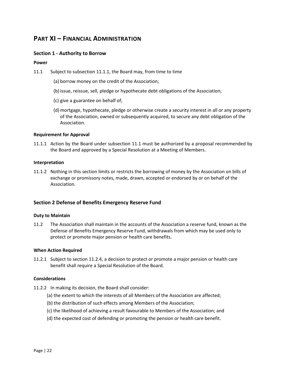## **PART XI – FINANCIAL ADMINISTRATION**

#### **Section 1 - Authority to Borrow**

#### **Power**

- 11.1 Subject to subsection 11.1.1, the Board may, from time to time
	- (a) borrow money on the credit of the Association;
	- (b) issue, reissue, sell, pledge or hypothecate debt obligations of the Association;
	- (c) give a guarantee on behalf of;
	- (d)mortgage, hypothecate, pledge or otherwise create a security interest in all or any property of the Association, owned or subsequently acquired, to secure any debt obligation of the Association.

#### **Requirement for Approval**

11.1.1 Action by the Board under subsection 11.1 must be authorized by a proposal recommended by the Board and approved by a Special Resolution at a Meeting of Members.

#### **Interpretation**

11.1.2 Nothing in this section limits or restricts the borrowing of money by the Association on bills of exchange or promissory notes, made, drawn, accepted or endorsed by or on behalf of the Association.

#### **Section 2 Defense of Benefits Emergency Reserve Fund**

#### **Duty to Maintain**

11.2 The Association shall maintain in the accounts of the Association a reserve fund, known as the Defense of Benefits Emergency Reserve Fund, withdrawals from which may be used only to protect or promote major pension or health care benefits.

#### **When Action Required**

11.2.1 Subject to section 11.2.4, a decision to protect or promote a major pension or health care benefit shall require a Special Resolution of the Board.

#### **Considerations**

- 11.2.2 In making its decision, the Board shall consider:
	- (a) the extent to which the interests of all Members of the Association are affected;
	- (b) the distribution of such effects among Members of the Association;
	- (c) the likelihood of achieving a result favourable to Members of the Association; and
	- (d) the expected cost of defending or promoting the pension or health care benefit.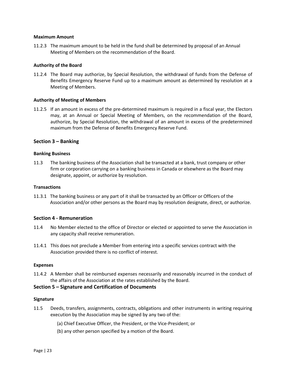#### **Maximum Amount**

11.2.3 The maximum amount to be held in the fund shall be determined by proposal of an Annual Meeting of Members on the recommendation of the Board.

#### **Authority of the Board**

11.2.4 The Board may authorize, by Special Resolution, the withdrawal of funds from the Defense of Benefits Emergency Reserve Fund up to a maximum amount as determined by resolution at a Meeting of Members.

#### **Authority of Meeting of Members**

11.2.5 If an amount in excess of the pre-determined maximum is required in a fiscal year, the Electors may, at an Annual or Special Meeting of Members, on the recommendation of the Board, authorize, by Special Resolution, the withdrawal of an amount in excess of the predetermined maximum from the Defense of Benefits Emergency Reserve Fund.

#### **Section 3 – Banking**

#### **Banking Business**

11.3 The banking business of the Association shall be transacted at a bank, trust company or other firm or corporation carrying on a banking business in Canada or elsewhere as the Board may designate, appoint, or authorize by resolution.

#### **Transactions**

11.3.1 The banking business or any part of it shall be transacted by an Officer or Officers of the Association and/or other persons as the Board may by resolution designate, direct, or authorize.

#### **Section 4 - Remuneration**

- 11.4 No Member elected to the office of Director or elected or appointed to serve the Association in any capacity shall receive remuneration.
- 11.4.1 This does not preclude a Member from entering into a specific services contract with the Association provided there is no conflict of interest.

#### **Expenses**

11.4.2 A Member shall be reimbursed expenses necessarily and reasonably incurred in the conduct of the affairs of the Association at the rates established by the Board.

#### **Section 5 – Signature and Certification of Documents**

#### **Signature**

- 11.5 Deeds, transfers, assignments, contracts, obligations and other instruments in writing requiring execution by the Association may be signed by any two of the:
	- (a) Chief Executive Officer, the President, or the Vice-President; or
	- (b) any other person specified by a motion of the Board.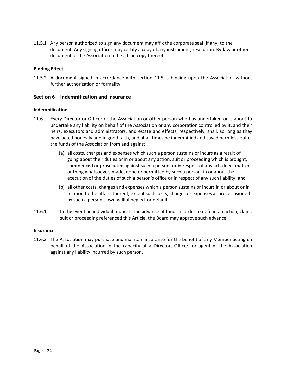11.5.1 Any person authorized to sign any document may affix the corporate seal (if any) to the document. Any signing officer may certify a copy of any instrument, resolution, By-law or other document of the Association to be a true copy thereof.

#### **Binding Effect**

11.5.2 A document signed in accordance with section 11.5 is binding upon the Association without further authorization or formality.

#### **Section 6 – Indemnification and Insurance**

#### **Indemnification**

- 11.6 Every Director or Officer of the Association or other person who has undertaken or is about to undertake any liability on behalf of the Association or any corporation controlled by it, and their heirs, executors and administrators, and estate and effects, respectively, shall, so long as they have acted honestly and in good faith, and at all times be indemnified and saved harmless out of the funds of the Association from and against:
	- (a) all costs, charges and expenses which such a person sustains or incurs as a result of going about their duties or in or about any action, suit or proceeding which is brought, commenced or prosecuted against such a person, or in respect of any act, deed, matter or thing whatsoever, made, done or permitted by such a person, in or about the execution of the duties of such a person's office or in respect of any such liability; and
	- (b) all other costs, charges and expenses which a person sustains or incurs in or about or in relation to the affairs thereof, except such costs, charges or expenses as are occasioned by such a person's own willful neglect or default.
- 11.6.1 In the event an individual requests the advance of funds in order to defend an action, claim, suit or proceeding referenced this Article, the Board may approve such advance.

#### **Insurance**

11.6.2 The Association may purchase and maintain insurance for the benefit of any Member acting on behalf of the Association in the capacity of a Director, Officer, or agent of the Association against any liability incurred by such person.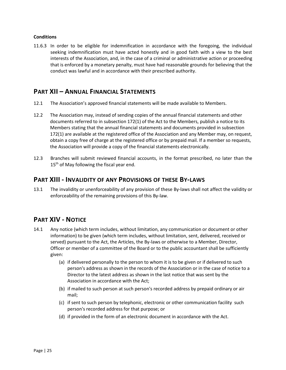#### **Conditions**

11.6.3 In order to be eligible for indemnification in accordance with the foregoing, the individual seeking indemnification must have acted honestly and in good faith with a view to the best interests of the Association, and, in the case of a criminal or administrative action or proceeding that is enforced by a monetary penalty, must have had reasonable grounds for believing that the conduct was lawful and in accordance with their prescribed authority.

## **PART XII – ANNUAL FINANCIAL STATEMENTS**

- 12.1 The Association's approved financial statements will be made available to Members.
- 12.2 The Association may, instead of sending copies of the annual financial statements and other documents referred to in subsection 172(1) of the Act to the Members, publish a notice to its Members stating that the annual financial statements and documents provided in subsection 172(1) are available at the registered office of the Association and any Member may, on request, obtain a copy free of charge at the registered office or by prepaid mail. If a member so requests, the Association will provide a copy of the financial statements electronically.
- 12.3 Branches will submit reviewed financial accounts, in the format prescribed, no later than the  $15<sup>th</sup>$  of May following the fiscal year end.

## **PART XIII - INVALIDITY OF ANY PROVISIONS OF THESE BY-LAWS**

13.1 The invalidity or unenforceability of any provision of these By-laws shall not affect the validity or enforceability of the remaining provisions of this By-law.

## **PART XIV - NOTICE**

- 14.1 Any notice (which term includes, without limitation, any communication or document or other information) to be given (which term includes, without limitation, sent, delivered, received or served) pursuant to the Act, the Articles, the By-laws or otherwise to a Member, Director, Officer or member of a committee of the Board or to the public accountant shall be sufficiently given:
	- (a) if delivered personally to the person to whom it is to be given or if delivered to such person's address as shown in the records of the Association or in the case of notice to a Director to the latest address as shown in the last notice that was sent by the Association in accordance with the Act;
	- (b) if mailed to such person at such person's recorded address by prepaid ordinary or air mail;
	- (c) if sent to such person by telephonic, electronic or other communication facility such person's recorded address for that purpose; or
	- (d) if provided in the form of an electronic document in accordance with the Act.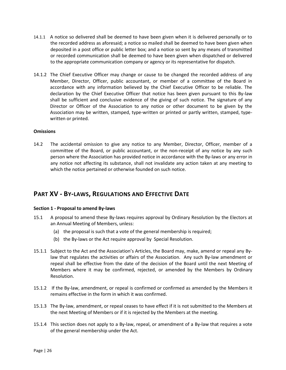- 14.1.1 A notice so delivered shall be deemed to have been given when it is delivered personally or to the recorded address as aforesaid; a notice so mailed shall be deemed to have been given when deposited in a post office or public letter box; and a notice so sent by any means of transmitted or recorded communication shall be deemed to have been given when dispatched or delivered to the appropriate communication company or agency or its representative for dispatch.
- 14.1.2 The Chief Executive Officer may change or cause to be changed the recorded address of any Member, Director, Officer, public accountant, or member of a committee of the Board in accordance with any information believed by the Chief Executive Officer to be reliable. The declaration by the Chief Executive Officer that notice has been given pursuant to this By-law shall be sufficient and conclusive evidence of the giving of such notice. The signature of any Director or Officer of the Association to any notice or other document to be given by the Association may be written, stamped, type-written or printed or partly written, stamped, typewritten or printed.

#### **Omissions**

14.2 The accidental omission to give any notice to any Member, Director, Officer, member of a committee of the Board, or public accountant, or the non-receipt of any notice by any such person where the Association has provided notice in accordance with the By-laws or any error in any notice not affecting its substance, shall not invalidate any action taken at any meeting to which the notice pertained or otherwise founded on such notice.

## **PART XV - BY-LAWS, REGULATIONS AND EFFECTIVE DATE**

#### **Section 1 - Proposal to amend By-laws**

- 15.1 A proposal to amend these By-laws requires approval by Ordinary Resolution by the Electors at an Annual Meeting of Members, unless:
	- (a) the proposal is such that a vote of the general membership is required;
	- (b) the By-laws or the Act require approval by Special Resolution.
- 15.1.1 Subject to the Act and the Association's Articles, the Board may, make, amend or repeal any Bylaw that regulates the activities or affairs of the Association. Any such By-law amendment or repeal shall be effective from the date of the decision of the Board until the next Meeting of Members where it may be confirmed, rejected, or amended by the Members by Ordinary Resolution.
- 15.1.2 If the By-law, amendment, or repeal is confirmed or confirmed as amended by the Members it remains effective in the form in which it was confirmed.
- 15.1.3 The By-law, amendment, or repeal ceases to have effect if it is not submitted to the Members at the next Meeting of Members or if it is rejected by the Members at the meeting.
- 15.1.4 This section does not apply to a By-law, repeal, or amendment of a By-law that requires a vote of the general membership under the Act.